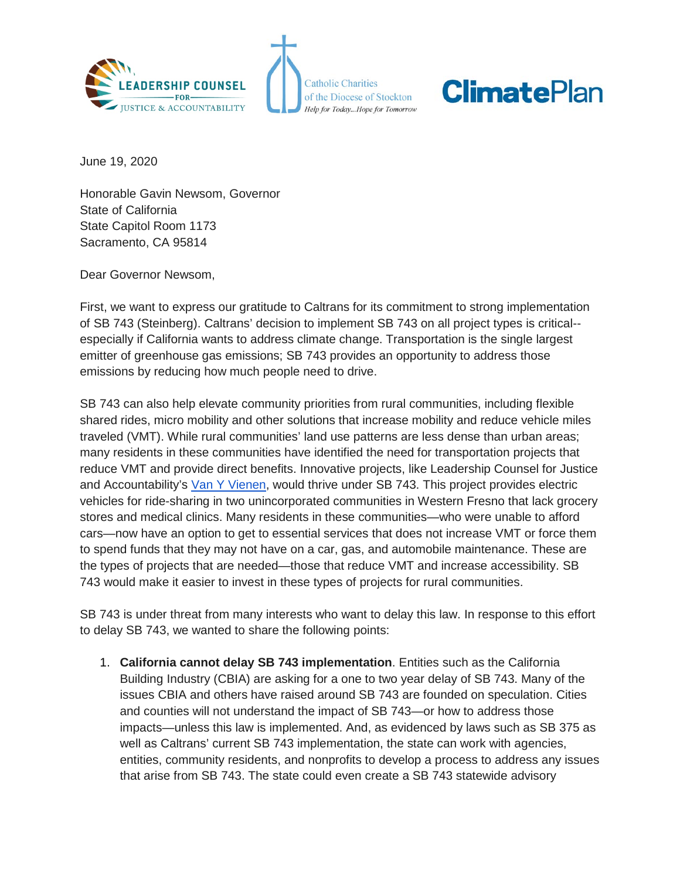

**Catholic Charities** of the Diocese of Stockton Help for Today...Hope for Tomorrow

## **ClimatePlan**

June 19, 2020

Honorable Gavin Newsom, Governor State of California State Capitol Room 1173 Sacramento, CA 95814

Dear Governor Newsom,

First, we want to express our gratitude to Caltrans for its commitment to strong implementation of SB 743 (Steinberg). Caltrans' decision to implement SB 743 on all project types is critical- especially if California wants to address climate change. Transportation is the single largest emitter of greenhouse gas emissions; SB 743 provides an opportunity to address those emissions by reducing how much people need to drive.

SB 743 can also help elevate community priorities from rural communities, including flexible shared rides, micro mobility and other solutions that increase mobility and reduce vehicle miles traveled (VMT). While rural communities' land use patterns are less dense than urban areas; many residents in these communities have identified the need for transportation projects that reduce VMT and provide direct benefits. Innovative projects, like Leadership Counsel for Justice and Accountability's [Van Y Vienen,](https://www.kvpr.org/post/van-y-vienen-brings-electric-vehicle-ride-sharing-two-rural-fresno-communities) would thrive under SB 743. This project provides electric vehicles for ride-sharing in two unincorporated communities in Western Fresno that lack grocery stores and medical clinics. Many residents in these communities—who were unable to afford cars—now have an option to get to essential services that does not increase VMT or force them to spend funds that they may not have on a car, gas, and automobile maintenance. These are the types of projects that are needed—those that reduce VMT and increase accessibility. SB 743 would make it easier to invest in these types of projects for rural communities.

SB 743 is under threat from many interests who want to delay this law. In response to this effort to delay SB 743, we wanted to share the following points:

1. **California cannot delay SB 743 implementation**. Entities such as the California Building Industry (CBIA) are asking for a one to two year delay of SB 743. Many of the issues CBIA and others have raised around SB 743 are founded on speculation. Cities and counties will not understand the impact of SB 743—or how to address those impacts—unless this law is implemented. And, as evidenced by laws such as SB 375 as well as Caltrans' current SB 743 implementation, the state can work with agencies, entities, community residents, and nonprofits to develop a process to address any issues that arise from SB 743. The state could even create a SB 743 statewide advisory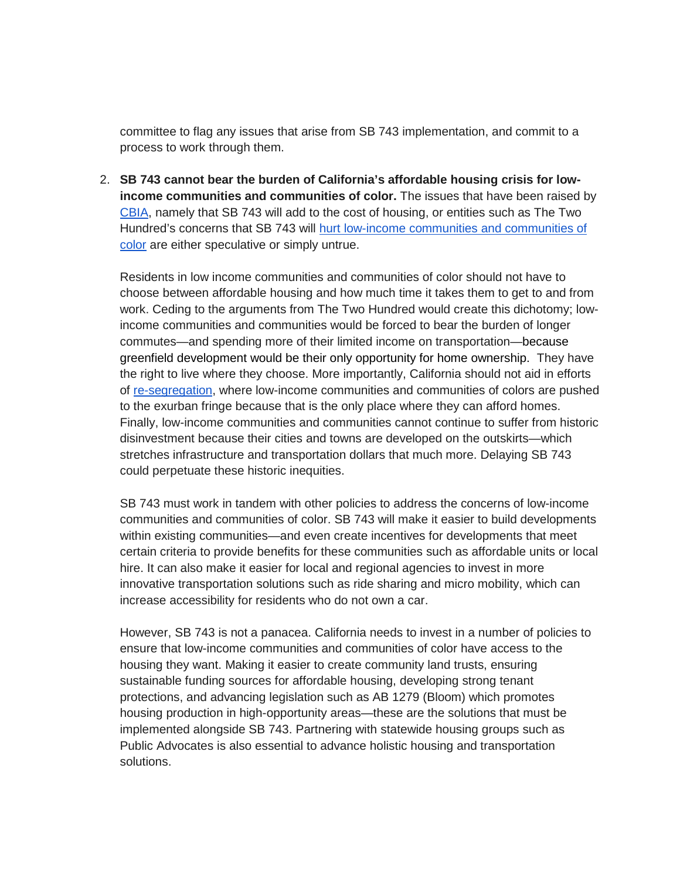committee to flag any issues that arise from SB 743 implementation, and commit to a process to work through them.

2. **SB 743 cannot bear the burden of California's affordable housing crisis for lowincome communities and communities of color.** The issues that have been raised by [CBIA,](https://cbia.org/housing-killers-creators/) namely that SB 743 will add to the cost of housing, or entities such as The Two Hundred's concerns that SB 743 will [hurt low-income communities and communities of](https://careabouthousing.org/delayvmt/)  [color](https://careabouthousing.org/delayvmt/) are either speculative or simply untrue.

Residents in low income communities and communities of color should not have to choose between affordable housing and how much time it takes them to get to and from work. Ceding to the arguments from The Two Hundred would create this dichotomy; lowincome communities and communities would be forced to bear the burden of longer commutes—and spending more of their limited income on transportation—because greenfield development would be their only opportunity for home ownership. They have the right to live where they choose. More importantly, California should not aid in efforts of [re-segregation,](https://sanfrancisco.cbslocal.com/2020/06/16/project-home-study-race-discrimination-housing-real-estate-bay-area/) where low-income communities and communities of colors are pushed to the exurban fringe because that is the only place where they can afford homes. Finally, low-income communities and communities cannot continue to suffer from historic disinvestment because their cities and towns are developed on the outskirts—which stretches infrastructure and transportation dollars that much more. Delaying SB 743 could perpetuate these historic inequities.

SB 743 must work in tandem with other policies to address the concerns of low-income communities and communities of color. SB 743 will make it easier to build developments within existing communities—and even create incentives for developments that meet certain criteria to provide benefits for these communities such as affordable units or local hire. It can also make it easier for local and regional agencies to invest in more innovative transportation solutions such as ride sharing and micro mobility, which can increase accessibility for residents who do not own a car.

However, SB 743 is not a panacea. California needs to invest in a number of policies to ensure that low-income communities and communities of color have access to the housing they want. Making it easier to create community land trusts, ensuring sustainable funding sources for affordable housing, developing strong tenant protections, and advancing legislation such as AB 1279 (Bloom) which promotes housing production in high-opportunity areas—these are the solutions that must be implemented alongside SB 743. Partnering with statewide housing groups such as Public Advocates is also essential to advance holistic housing and transportation solutions.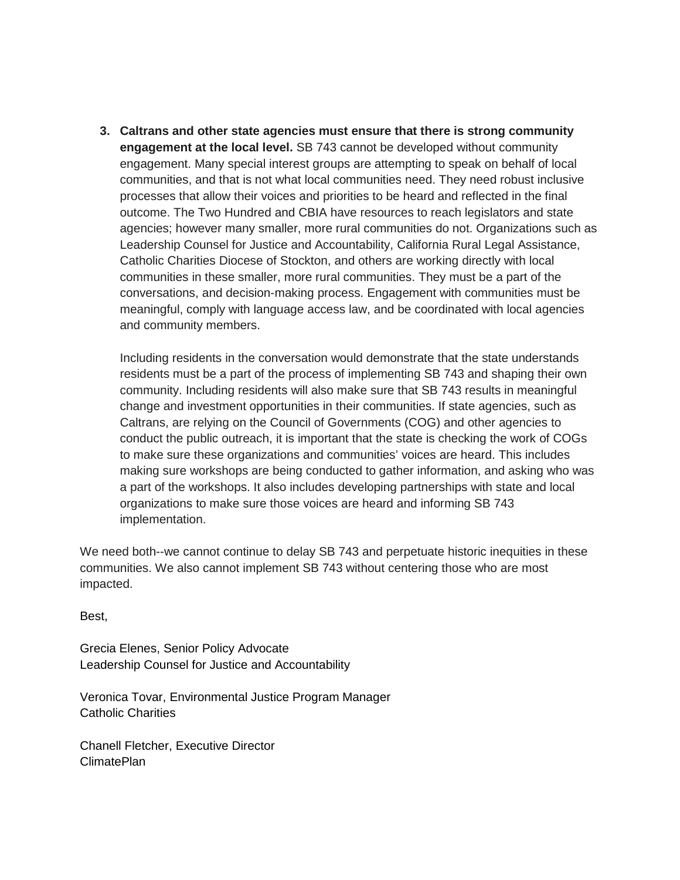**3. Caltrans and other state agencies must ensure that there is strong community engagement at the local level.** SB 743 cannot be developed without community engagement. Many special interest groups are attempting to speak on behalf of local communities, and that is not what local communities need. They need robust inclusive processes that allow their voices and priorities to be heard and reflected in the final outcome. The Two Hundred and CBIA have resources to reach legislators and state agencies; however many smaller, more rural communities do not. Organizations such as Leadership Counsel for Justice and Accountability, California Rural Legal Assistance, Catholic Charities Diocese of Stockton, and others are working directly with local communities in these smaller, more rural communities. They must be a part of the conversations, and decision-making process. Engagement with communities must be meaningful, comply with language access law, and be coordinated with local agencies and community members.

Including residents in the conversation would demonstrate that the state understands residents must be a part of the process of implementing SB 743 and shaping their own community. Including residents will also make sure that SB 743 results in meaningful change and investment opportunities in their communities. If state agencies, such as Caltrans, are relying on the Council of Governments (COG) and other agencies to conduct the public outreach, it is important that the state is checking the work of COGs to make sure these organizations and communities' voices are heard. This includes making sure workshops are being conducted to gather information, and asking who was a part of the workshops. It also includes developing partnerships with state and local organizations to make sure those voices are heard and informing SB 743 implementation.

We need both--we cannot continue to delay SB 743 and perpetuate historic inequities in these communities. We also cannot implement SB 743 without centering those who are most impacted.

Best,

Grecia Elenes, Senior Policy Advocate Leadership Counsel for Justice and Accountability

Veronica Tovar, Environmental Justice Program Manager Catholic Charities

Chanell Fletcher, Executive Director ClimatePlan